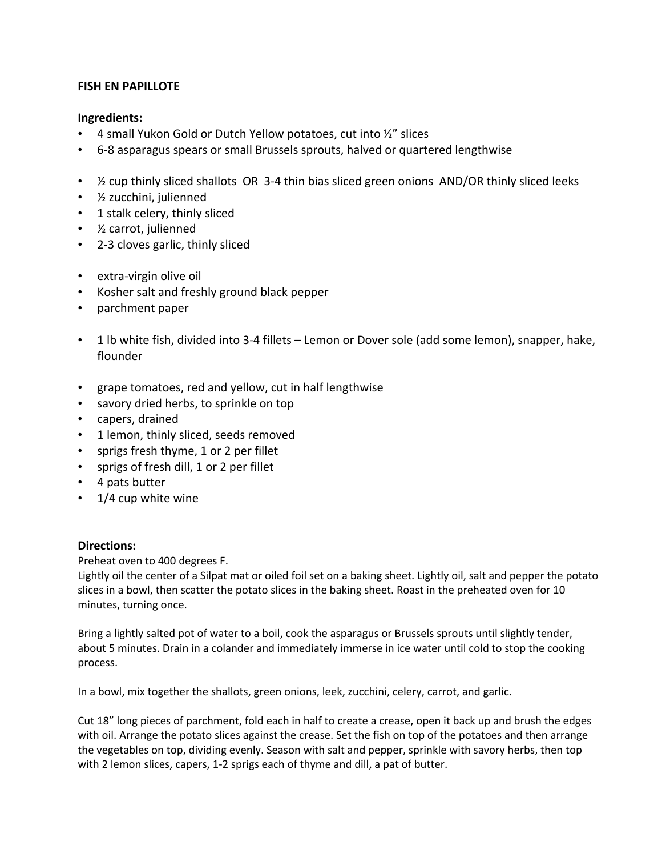## **FISH EN PAPILLOTE**

## **Ingredients:**

- 4 small Yukon Gold or Dutch Yellow potatoes, cut into  $\frac{1}{2}$ " slices
- 6-8 asparagus spears or small Brussels sprouts, halved or quartered lengthwise
- 1/2 cup thinly sliced shallots OR 3-4 thin bias sliced green onions AND/OR thinly sliced leeks
- ½ zucchini, julienned
- 1 stalk celery, thinly sliced
- ½ carrot, julienned
- 2-3 cloves garlic, thinly sliced
- extra-virgin olive oil
- Kosher salt and freshly ground black pepper
- parchment paper
- 1 lb white fish, divided into 3-4 fillets Lemon or Dover sole (add some lemon), snapper, hake, flounder
- grape tomatoes, red and yellow, cut in half lengthwise
- savory dried herbs, to sprinkle on top
- capers, drained
- 1 lemon, thinly sliced, seeds removed
- sprigs fresh thyme, 1 or 2 per fillet
- sprigs of fresh dill, 1 or 2 per fillet
- 4 pats butter
- 1/4 cup white wine

## **Directions:**

Preheat oven to 400 degrees F.

Lightly oil the center of a Silpat mat or oiled foil set on a baking sheet. Lightly oil, salt and pepper the potato slices in a bowl, then scatter the potato slices in the baking sheet. Roast in the preheated oven for 10 minutes, turning once.

Bring a lightly salted pot of water to a boil, cook the asparagus or Brussels sprouts until slightly tender, about 5 minutes. Drain in a colander and immediately immerse in ice water until cold to stop the cooking process.

In a bowl, mix together the shallots, green onions, leek, zucchini, celery, carrot, and garlic.

Cut 18" long pieces of parchment, fold each in half to create a crease, open it back up and brush the edges with oil. Arrange the potato slices against the crease. Set the fish on top of the potatoes and then arrange the vegetables on top, dividing evenly. Season with salt and pepper, sprinkle with savory herbs, then top with 2 lemon slices, capers, 1-2 sprigs each of thyme and dill, a pat of butter.